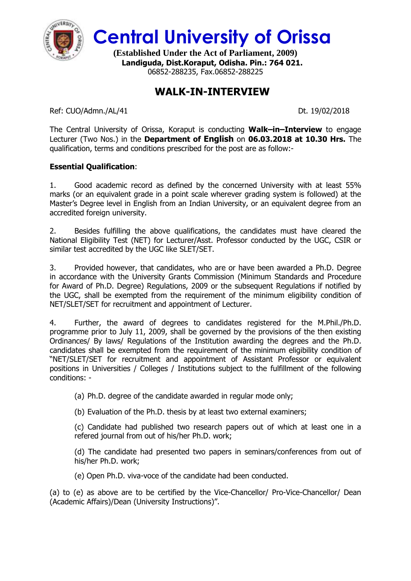

**Central University of Orissa**

**(Established Under the Act of Parliament, 2009) Landiguda, Dist.Koraput, Odisha. Pin.: 764 021.** 06852-288235, Fax.06852-288225

## **WALK-IN-INTERVIEW**

Ref: CUO/Admn./AL/41 Dt. 19/02/2018

The Central University of Orissa, Koraput is conducting **Walk–in–Interview** to engage Lecturer (Two Nos.) in the **Department of English** on **06.03.2018 at 10.30 Hrs.** The qualification, terms and conditions prescribed for the post are as follow:-

## **Essential Qualification**:

1. Good academic record as defined by the concerned University with at least 55% marks (or an equivalent grade in a point scale wherever grading system is followed) at the Master's Degree level in English from an Indian University, or an equivalent degree from an accredited foreign university.

2. Besides fulfilling the above qualifications, the candidates must have cleared the National Eligibility Test (NET) for Lecturer/Asst. Professor conducted by the UGC, CSIR or similar test accredited by the UGC like SLET/SET.

3. Provided however, that candidates, who are or have been awarded a Ph.D. Degree in accordance with the University Grants Commission (Minimum Standards and Procedure for Award of Ph.D. Degree) Regulations, 2009 or the subsequent Regulations if notified by the UGC, shall be exempted from the requirement of the minimum eligibility condition of NET/SLET/SET for recruitment and appointment of Lecturer.

4. Further, the award of degrees to candidates registered for the M.Phil./Ph.D. programme prior to July 11, 2009, shall be governed by the provisions of the then existing Ordinances/ By laws/ Regulations of the Institution awarding the degrees and the Ph.D. candidates shall be exempted from the requirement of the minimum eligibility condition of "NET/SLET/SET for recruitment and appointment of Assistant Professor or equivalent positions in Universities / Colleges / Institutions subject to the fulfillment of the following conditions: -

(a) Ph.D. degree of the candidate awarded in regular mode only;

(b) Evaluation of the Ph.D. thesis by at least two external examiners;

(c) Candidate had published two research papers out of which at least one in a refered journal from out of his/her Ph.D. work;

(d) The candidate had presented two papers in seminars/conferences from out of his/her Ph.D. work;

(e) Open Ph.D. viva-voce of the candidate had been conducted.

(a) to (e) as above are to be certified by the Vice-Chancellor/ Pro-Vice-Chancellor/ Dean (Academic Affairs)/Dean (University Instructions)".